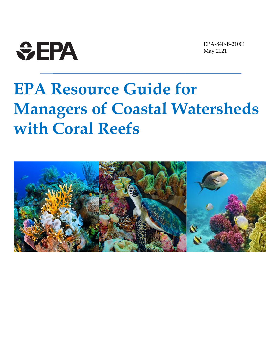

EPA-840-B-21001 May 2021

# **EPA Resource Guide for Managers of Coastal Watersheds with Coral Reefs**

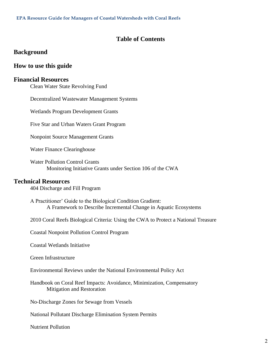#### **Table of Contents**

#### **[Background](#page-3-0)**

#### **[How to use this guide](#page-3-1)**

#### **[Financial Resources](#page-3-2)**

[Clean Water State Revolving Fund](#page-3-3)

[Decentralized Wastewater Management Systems](#page-5-0)

[Wetlands Program Development Grants](#page-6-0)

[Five Star and Urban Waters Grant Program](#page-7-0)

[Nonpoint Source Management Grants](#page-8-0)

[Water Finance Clearinghouse](#page-8-1)

[Water Pollution Control Grants](#page-9-0) [Monitoring Initiative Grants under Section 106 of the CWA](#page-9-0)

#### **[Technical Resources](#page-10-0)**

[404 Discharge and Fill Program](#page-10-1)

[A Practitioner' Guide to the Biological Condition Gradient:](#page-10-2) [A Framework to Describe Incremental Change in Aquatic Ecosystems](#page-10-2)

[2010 Coral Reefs Biological Criteria: Using the CWA to Protect a National Treasure](#page-11-0)

[Coastal Nonpoint Pollution Control Program](#page-11-1)

[Coastal Wetlands Initiative](#page-12-0)

[Green Infrastructure](#page-12-1)

[Environmental Reviews under the National Environmental Policy Act](#page-13-0)

[Handbook on Coral Reef Impacts: Avoidance, Minimization, Compensatory](#page-14-0)  [Mitigation and Restoration](#page-14-0)

[No-Discharge Zones for Sewage from Vessels](#page-14-1)

[National Pollutant Discharge Elimination System Permits](#page-15-0)

[Nutrient Pollution](#page-15-1)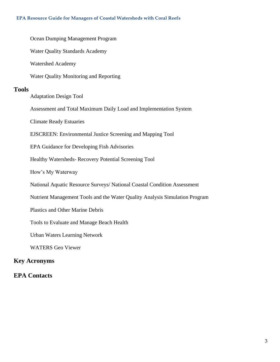# [Ocean Dumping Management Program](#page-16-0) [Water Quality Standards Academy](#page-17-0) [Watershed Academy](#page-17-1) [Water Quality Monitoring and Reporting](#page-17-2) **[Tools](#page-19-0)** [Adaptation Design Tool](#page-19-1) Assessment [and Total Maximum Daily Load and Implementation System](#page-19-2) [Climate Ready Estuaries](#page-20-0) [EJSCREEN: Environmental Justice Screening and Mapping Tool](#page-20-1) [EPA Guidance for Developing Fish Advisories](#page-21-0) Healthy Watersheds- [Recovery Potential Screening Tool](#page-21-1) [How's My Waterway](#page-21-2) [National Aquatic Resource Surveys/ National Coastal Condition Assessment](#page-22-0) [Nutrient Management Tools and the Water Quality Analysis Simulation Program](#page-22-1) [Plastics and Other Marine Debris](#page-23-0) [Tools to Evaluate and Manage Beach Health](#page-24-0) [Urban Waters Learning Network](#page-25-0) [WATERS Geo Viewer](#page-25-1) **[Key Acronyms](#page-26-0)**

#### **[EPA Contacts](#page-27-0)**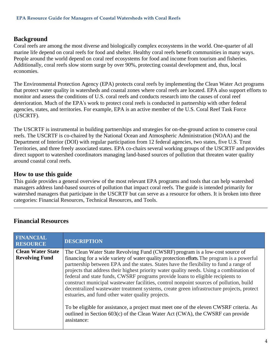#### <span id="page-3-0"></span>**Background**

Coral reefs are among the most diverse and biologically complex ecosystems in the world. One-quarter of all marine life depend on coral reefs for food and shelter. Healthy coral reefs benefit communities in many ways. People around the world depend on coral reef ecosystems for food and income from tourism and fisheries. Additionally, coral reefs slow storm surge by over 90%, protecting coastal development and, thus, local economies.

The Environmental Protection Agency (EPA) protects coral reefs by implementing the Clean Water Act programs that protect water quality in watersheds and coastal zones where coral reefs are located. EPA also support efforts to monitor and assess the conditions of U.S. coral reefs and conducts research into the causes of coral reef deterioration. Much of the EPA's work to protect coral reefs is conducted in partnership with other federal agencies, states, and territories. For example, EPA is an active member of the U.S. Coral Reef Task Force (USCRTF).

The USCRTF is instrumental in building partnerships and strategies for on-the-ground action to conserve coral reefs. The USCRTF is co-chaired by the National Ocean and Atmospheric Administration (NOAA) and the Department of Interior (DOI) with regular participation from 12 federal agencies, two states, five U.S. Trust Territories, and three freely associated states. EPA co-chairs several working groups of the USCRTF and provides direct support to watershed coordinators managing land-based sources of pollution that threaten water quality around coastal coral reefs.

#### <span id="page-3-1"></span>**How to use this guide**

This guide provides a general overview of the most relevant EPA programs and tools that can help watershed managers address land-based sources of pollution that impact coral reefs. The guide is intended primarily for watershed managers that participate in the USCRTF but can serve as a resource for others. It is broken into three categories: Financial Resources, Technical Resources, and Tools.

<span id="page-3-2"></span>

<span id="page-3-3"></span>

| <b>FINANCIAL</b><br><b>RESOURCE</b>               | <b>DESCRIPTION</b>                                                                                                                                                                                                                                                                                                                                                                                                                                                                                                                                                                                                                                                                                                                                                                                                                                                                            |
|---------------------------------------------------|-----------------------------------------------------------------------------------------------------------------------------------------------------------------------------------------------------------------------------------------------------------------------------------------------------------------------------------------------------------------------------------------------------------------------------------------------------------------------------------------------------------------------------------------------------------------------------------------------------------------------------------------------------------------------------------------------------------------------------------------------------------------------------------------------------------------------------------------------------------------------------------------------|
| <b>Clean Water State</b><br><b>Revolving Fund</b> | The Clean Water State Revolving Fund (CWSRF) program is a low-cost source of<br>financing for a wide variety of water quality protection efforts. The program is a powerful<br>partnership between EPA and the states. States have the flexibility to fund a range of<br>projects that address their highest priority water quality needs. Using a combination of<br>federal and state funds, CWSRF programs provide loans to eligible recipients to<br>construct municipal wastewater facilities, control nonpoint sources of pollution, build<br>decentralized wastewater treatment systems, create green infrastructure projects, protect<br>estuaries, and fund other water quality projects.<br>To be eligible for assistance, a project must meet one of the eleven CWSRF criteria. As<br>outlined in Section 603(c) of the Clean Water Act (CWA), the CWSRF can provide<br>assistance: |
|                                                   |                                                                                                                                                                                                                                                                                                                                                                                                                                                                                                                                                                                                                                                                                                                                                                                                                                                                                               |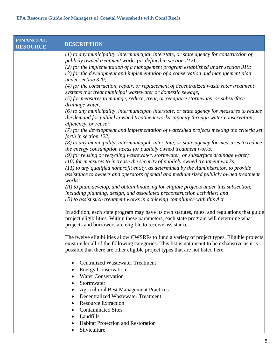| <b>FINANCIAL</b><br><b>RESOURCE</b> | <b>DESCRIPTION</b>                                                                                                                                                                                                                                                                                                                                                   |
|-------------------------------------|----------------------------------------------------------------------------------------------------------------------------------------------------------------------------------------------------------------------------------------------------------------------------------------------------------------------------------------------------------------------|
|                                     | (1) to any municipality, intermunicipal, interstate, or state agency for construction of<br>publicly owned treatment works (as defined in section 212);<br>$(2)$ for the implementation of a management program established under section 319;<br>$(3)$ for the development and implementation of a conservation and management plan<br>under section 320;           |
|                                     | (4) for the construction, repair, or replacement of decentralized wastewater treatment<br>systems that treat municipal wastewater or domestic sewage;<br>(5) for measures to manage, reduce, treat, or recapture stormwater or subsurface                                                                                                                            |
|                                     | drainage water;<br>(6) to any municipality, intermunicipal, interstate, or state agency for measures to reduce<br>the demand for publicly owned treatment works capacity through water conservation,<br>efficiency, or reuse;                                                                                                                                        |
|                                     | (7) for the development and implementation of watershed projects meeting the criteria set<br>forth in section 122;<br>(8) to any municipality, intermunicipal, interstate, or state agency for measures to reduce<br>the energy consumption needs for publicly owned treatment works;                                                                                |
|                                     | (9) for reusing or recycling wastewater, stormwater, or subsurface drainage water;<br>$(10)$ for measures to increase the security of publicly owned treatment works;<br>$(11)$ to any qualified nonprofit entity, as determined by the Administrator, to provide<br>assistance to owners and operators of small and medium sized publicly owned treatment<br>works; |
|                                     | (A) to plan, develop, and obtain financing for eligible projects under this subsection,<br>including planning, design, and associated preconstruction activities; and<br>$(B)$ to assist such treatment works in achieving compliance with this Act.                                                                                                                 |
|                                     | In addition, each state program may have its own statutes, rules, and regulations that guide<br>project eligibilities. Within these parameters, each state program will determine what<br>projects and borrowers are eligible to receive assistance.                                                                                                                 |
|                                     | The twelve eligibilities allow CWSRFs to fund a variety of project types. Eligible projects<br>exist under all of the following categories. This list is not meant to be exhaustive as it is<br>possible that there are other eligible project types that are not listed here.                                                                                       |
|                                     | <b>Centralized Wastewater Treatment</b><br>٠<br><b>Energy Conservation</b><br>$\bullet$<br><b>Water Conservation</b>                                                                                                                                                                                                                                                 |
|                                     | Stormwater<br><b>Agricultural Best Management Practices</b><br><b>Decentralized Wastewater Treatment</b><br>$\bullet$                                                                                                                                                                                                                                                |
|                                     | <b>Resource Extraction</b><br><b>Contaminated Sites</b><br>Landfills                                                                                                                                                                                                                                                                                                 |
|                                     | Habitat Protection and Restoration<br>٠<br>Silviculture                                                                                                                                                                                                                                                                                                              |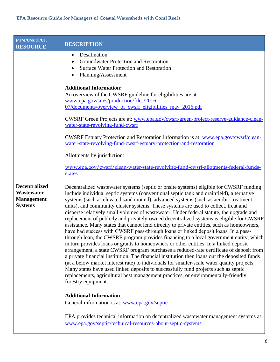<span id="page-5-0"></span>

| <b>FINANCIAL</b><br><b>RESOURCE</b>                                       | <b>DESCRIPTION</b>                                                                                                                                                                                                                                                                                                                                                                                                                                                                                                                                                                                                                                                                                                                                                                                                                                                                                                                                                                                                                                                                                                                                                                                                                                                                                                                                                                                                       |
|---------------------------------------------------------------------------|--------------------------------------------------------------------------------------------------------------------------------------------------------------------------------------------------------------------------------------------------------------------------------------------------------------------------------------------------------------------------------------------------------------------------------------------------------------------------------------------------------------------------------------------------------------------------------------------------------------------------------------------------------------------------------------------------------------------------------------------------------------------------------------------------------------------------------------------------------------------------------------------------------------------------------------------------------------------------------------------------------------------------------------------------------------------------------------------------------------------------------------------------------------------------------------------------------------------------------------------------------------------------------------------------------------------------------------------------------------------------------------------------------------------------|
|                                                                           | Desalination<br>٠<br>Groundwater Protection and Restoration<br><b>Surface Water Protection and Restoration</b><br>Planning/Assessment                                                                                                                                                                                                                                                                                                                                                                                                                                                                                                                                                                                                                                                                                                                                                                                                                                                                                                                                                                                                                                                                                                                                                                                                                                                                                    |
|                                                                           | <b>Additional Information:</b><br>An overview of the CWSRF guideline for eligibilities are at:<br>www.epa.gov/sites/production/files/2016-<br>07/documents/overview_of_cwsrf_eligibilities_may_2016.pdf                                                                                                                                                                                                                                                                                                                                                                                                                                                                                                                                                                                                                                                                                                                                                                                                                                                                                                                                                                                                                                                                                                                                                                                                                  |
|                                                                           | CWSRF Green Projects are at: www.epa.gov/cwsrf/green-project-reserve-guidance-clean-<br>water-state-revolving-fund-cwsrf                                                                                                                                                                                                                                                                                                                                                                                                                                                                                                                                                                                                                                                                                                                                                                                                                                                                                                                                                                                                                                                                                                                                                                                                                                                                                                 |
|                                                                           | <b>CWSRF Estuary Protection and Restoration information is at: www.epa.gov/cwsrf/clean-</b><br>water-state-revolving-fund-cwsrf-estuary-protection-and-restoration                                                                                                                                                                                                                                                                                                                                                                                                                                                                                                                                                                                                                                                                                                                                                                                                                                                                                                                                                                                                                                                                                                                                                                                                                                                       |
|                                                                           | Allotments by jurisdiction:                                                                                                                                                                                                                                                                                                                                                                                                                                                                                                                                                                                                                                                                                                                                                                                                                                                                                                                                                                                                                                                                                                                                                                                                                                                                                                                                                                                              |
|                                                                           | www.epa.gov/cwsrf/clean-water-state-revolving-fund-cwsrf-allotments-federal-funds-<br>states                                                                                                                                                                                                                                                                                                                                                                                                                                                                                                                                                                                                                                                                                                                                                                                                                                                                                                                                                                                                                                                                                                                                                                                                                                                                                                                             |
| <b>Decentralized</b><br>Wastewater<br><b>Management</b><br><b>Systems</b> | Decentralized wastewater systems (septic or onsite systems) eligible for CWSRF funding<br>include individual septic systems (conventional septic tank and drainfield), alternative<br>systems (such as elevated sand mound), advanced systems (such as aerobic treatment<br>units), and community cluster systems. These systems are used to collect, treat and<br>disperse relatively small volumes of wastewater. Under federal statute, the upgrade and<br>replacement of publicly and privately-owned decentralized systems is eligible for CWSRF<br>assistance. Many states that cannot lend directly to private entities, such as homeowners,<br>have had success with CWSRF pass-through loans or linked deposit loans. In a pass-<br>through loan, the CWSRF program provides financing to a local government entity, which<br>in turn provides loans or grants to homeowners or other entities. In a linked deposit<br>arrangement, a state CWSRF program purchases a reduced-rate certificate of deposit from<br>a private financial institution. The financial institution then loans out the deposited funds<br>(at a below market interest rate) to individuals for smaller-scale water quality projects.<br>Many states have used linked deposits to successfully fund projects such as septic<br>replacements, agricultural best management practices, or environmentally-friendly<br>forestry equipment. |
|                                                                           | <b>Additional Information:</b><br>General information is at: www.epa.gov/septic                                                                                                                                                                                                                                                                                                                                                                                                                                                                                                                                                                                                                                                                                                                                                                                                                                                                                                                                                                                                                                                                                                                                                                                                                                                                                                                                          |
|                                                                           | EPA provides technical information on decentralized wastewater management systems at:<br>www.epa.gov/septic/technical-resources-about-septic-systems                                                                                                                                                                                                                                                                                                                                                                                                                                                                                                                                                                                                                                                                                                                                                                                                                                                                                                                                                                                                                                                                                                                                                                                                                                                                     |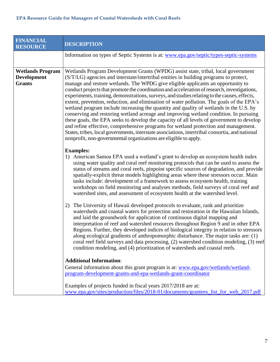<span id="page-6-0"></span>

| <b>FINANCIAL</b><br><b>RESOURCE</b>                            | <b>DESCRIPTION</b>                                                                                                                                                                                                                                                                                                                                                                                                                                                                                                                                                                                                                                                                                                                                                                                                                                                                                                                                                                                                                                                                                         |
|----------------------------------------------------------------|------------------------------------------------------------------------------------------------------------------------------------------------------------------------------------------------------------------------------------------------------------------------------------------------------------------------------------------------------------------------------------------------------------------------------------------------------------------------------------------------------------------------------------------------------------------------------------------------------------------------------------------------------------------------------------------------------------------------------------------------------------------------------------------------------------------------------------------------------------------------------------------------------------------------------------------------------------------------------------------------------------------------------------------------------------------------------------------------------------|
|                                                                | Information on types of Septic Systems is at: www.epa.gov/septic/types-septic-systems                                                                                                                                                                                                                                                                                                                                                                                                                                                                                                                                                                                                                                                                                                                                                                                                                                                                                                                                                                                                                      |
| <b>Wetlands Program</b><br><b>Development</b><br><b>Grants</b> | Wetlands Program Development Grants (WPDG) assist state, tribal, local government<br>(S/T/LG) agencies and interstate/intertribal entities in building programs to protect,<br>manage and restore wetlands. The WPDG give eligible applicants an opportunity to<br>conduct projects that promote the coordination and acceleration of research, investigations,<br>experiments, training, demonstrations, surveys, and studies relating to the causes, effects,<br>extent, prevention, reduction, and elimination of water pollution. The goals of the EPA's<br>wetland program include increasing the quantity and quality of wetlands in the U.S. by<br>conserving and restoring wetland acreage and improving wetland condition. In pursuing<br>these goals, the EPA seeks to develop the capacity of all levels of government to develop<br>and refine effective, comprehensive programs for wetland protection and management.<br>States, tribes, local governments, interstate associations, intertribal consortia, and national<br>nonprofit, non-governmental organizations are eligible to apply. |
|                                                                | <b>Examples:</b><br>1) American Samoa EPA used a wetland's grant to develop an ecosystem health index<br>using water quality and coral reef monitoring protocols that can be used to assess the<br>status of streams and coral reefs, pinpoint specific sources of degradation, and provide<br>spatially-explicit threat models highlighting areas where these stressors occur. Main<br>tasks include: development of a framework to assess ecosystem health, training<br>workshops on field monitoring and analyses methods, field surveys of coral reef and<br>watershed sites, and assessment of ecosystem health at the watershed level.                                                                                                                                                                                                                                                                                                                                                                                                                                                               |
|                                                                | 2) The University of Hawaii developed protocols to evaluate, rank and prioritize<br>watersheds and coastal waters for protection and restoration in the Hawaiian Islands,<br>and laid the groundwork for application of continuous digital mapping and<br>interpretation of reef and watershed resources throughout Region 9 and in other EPA<br>Regions. Further, they developed indices of biological integrity in relation to stressors<br>along ecological gradients of anthropomorphic disturbance. The major tasks are: (1)<br>coral reef field surveys and data processing, (2) watershed condition modeling, (3) reef<br>condition modeling, and (4) prioritization of watersheds and coastal reefs.                                                                                                                                                                                                                                                                                                                                                                                               |
|                                                                | <b>Additional Information:</b><br>General information about this grant program is at: www.epa.gov/wetlands/wetland-<br>program-development-grants-and-epa-wetlands-grant-coordinator<br>Examples of projects funded in fiscal years 2017/2018 are at:<br>www.epa.gov/sites/production/files/2018-01/documents/grantees_list_for_web_2017.pdf                                                                                                                                                                                                                                                                                                                                                                                                                                                                                                                                                                                                                                                                                                                                                               |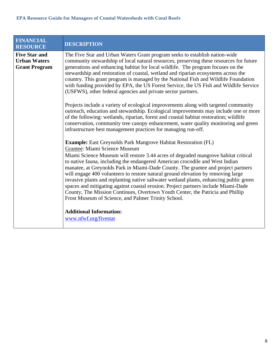<span id="page-7-0"></span>

| <b>FINANCIAL</b><br><b>RESOURCE</b>                                 | <b>DESCRIPTION</b>                                                                                                                                                                                                                                                                                                                                                                                                                                                                                                                                                                                                                                                   |
|---------------------------------------------------------------------|----------------------------------------------------------------------------------------------------------------------------------------------------------------------------------------------------------------------------------------------------------------------------------------------------------------------------------------------------------------------------------------------------------------------------------------------------------------------------------------------------------------------------------------------------------------------------------------------------------------------------------------------------------------------|
| <b>Five Star and</b><br><b>Urban Waters</b><br><b>Grant Program</b> | The Five Star and Urban Waters Grant program seeks to establish nation-wide<br>community stewardship of local natural resources, preserving these resources for future<br>generations and enhancing habitat for local wildlife. The program focuses on the<br>stewardship and restoration of coastal, wetland and riparian ecosystems across the<br>country. This grant program is managed by the National Fish and Wildlife Foundation<br>with funding provided by EPA, the US Forest Service, the US Fish and Wildlife Service<br>(USFWS), other federal agencies and private sector partners.                                                                     |
|                                                                     | Projects include a variety of ecological improvements along with targeted community<br>outreach, education and stewardship. Ecological improvements may include one or more<br>of the following: wetlands, riparian, forest and coastal habitat restoration; wildlife<br>conservation, community tree canopy enhancement, water quality monitoring and green<br>infrastructure best management practices for managing run-off.                                                                                                                                                                                                                                       |
|                                                                     | <b>Example:</b> East Greynolds Park Mangrove Habitat Restoration (FL)<br>Grantee: Miami Science Museum                                                                                                                                                                                                                                                                                                                                                                                                                                                                                                                                                               |
|                                                                     | Miami Science Museum will restore 3.44 acres of degraded mangrove habitat critical<br>to native fauna, including the endangered American crocodile and West Indian<br>manatee, at Greynolds Park in Miami-Dade County. The grantee and project partners<br>will engage 400 volunteers to restore natural ground elevation by removing large<br>invasive plants and replanting native saltwater wetland plants, enhancing public green<br>spaces and mitigating against coastal erosion. Project partners include Miami-Dade<br>County, The Mission Continues, Overtown Youth Center, the Patricia and Phillip<br>Frost Museum of Science, and Palmer Trinity School. |
|                                                                     | <b>Additional Information:</b><br>www.nfwf.org/fivestar                                                                                                                                                                                                                                                                                                                                                                                                                                                                                                                                                                                                              |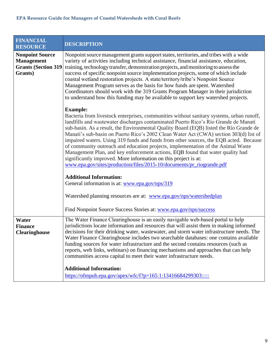<span id="page-8-1"></span><span id="page-8-0"></span>

| <b>FINANCIAL</b><br><b>RESOURCE</b>                                                   | <b>DESCRIPTION</b>                                                                                                                                                                                                                                                                                                                                                                                                                                                                                                                                                                                                                                                                                                                                                                               |
|---------------------------------------------------------------------------------------|--------------------------------------------------------------------------------------------------------------------------------------------------------------------------------------------------------------------------------------------------------------------------------------------------------------------------------------------------------------------------------------------------------------------------------------------------------------------------------------------------------------------------------------------------------------------------------------------------------------------------------------------------------------------------------------------------------------------------------------------------------------------------------------------------|
| <b>Nonpoint Source</b><br><b>Management</b><br><b>Grants (Section 319)</b><br>Grants) | Nonpoint source management grants support states, territories, and tribes with a wide<br>variety of activities including technical assistance, financial assistance, education,<br>training, technology transfer, demonstration projects, and monitoring to assess the<br>success of specific nonpoint source implementation projects, some of which include<br>coastal wetland restoration projects. A state/territory/tribe's Nonpoint Source<br>Management Program serves as the basis for how funds are spent. Watershed<br>Coordinators should work with the 319 Grants Program Manager in their jurisdiction<br>to understand how this funding may be available to support key watershed projects.                                                                                         |
|                                                                                       | <b>Example:</b><br>Bacteria from livestock enterprises, communities without sanitary systems, urban runoff,<br>landfills and wastewater discharges contaminated Puerto Rico's Río Grande de Manatí<br>sub-basin. As a result, the Environmental Quality Board (EQB) listed the Río Grande de<br>Manatí's sub-basin on Puerto Rico's 2002 Clean Water Act (CWA) section 303(d) list of<br>impaired waters. Using 319 funds and funds from other sources, the EQB acted. Because<br>of community outreach and education projects, implementation of the Animal Waste<br>Management Plan, and key enforcement actions, EQB found that water quality had<br>significantly improved. More information on this project is at:<br>www.epa.gov/sites/production/files/2015-10/documents/pr_riogrande.pdf |
|                                                                                       | <b>Additional Information:</b><br>General information is at: www.epa.gov/nps/319                                                                                                                                                                                                                                                                                                                                                                                                                                                                                                                                                                                                                                                                                                                 |
|                                                                                       | Watershed planning resources are at: www.epa.gov/nps/watershedplan                                                                                                                                                                                                                                                                                                                                                                                                                                                                                                                                                                                                                                                                                                                               |
|                                                                                       | Find Nonpoint Source Success Stories at: www.epa.gov/nps/success                                                                                                                                                                                                                                                                                                                                                                                                                                                                                                                                                                                                                                                                                                                                 |
| Water<br><b>Finance</b><br><b>Clearinghouse</b>                                       | The Water Finance Clearinghouse is an easily navigable web-based portal to help<br>jurisdictions locate information and resources that will assist them in making informed<br>decisions for their drinking water, wastewater, and storm water infrastructure needs. The<br>Water Finance Clearinghouse includes two searchable databases: one contains available<br>funding sources for water infrastructure and the second contains resources (such as<br>reports, web links, webinars) on financing mechanisms and approaches that can help<br>communities access capital to meet their water infrastructure needs.                                                                                                                                                                            |
|                                                                                       | <b>Additional Information:</b><br>https://ofmpub.epa.gov/apex/wfc/f?p=165:1:13416684299303:::::                                                                                                                                                                                                                                                                                                                                                                                                                                                                                                                                                                                                                                                                                                  |
|                                                                                       |                                                                                                                                                                                                                                                                                                                                                                                                                                                                                                                                                                                                                                                                                                                                                                                                  |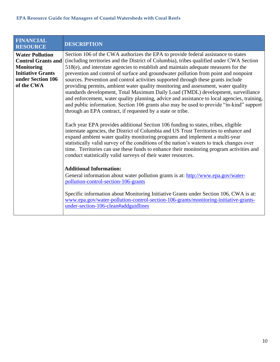<span id="page-9-0"></span>

| <b>FINANCIAL</b><br><b>RESOURCE</b>                                                                                                     | <b>DESCRIPTION</b>                                                                                                                                                                                                                                                                                                                                                                                                                                                                                                                                                                                                                                                                                                                                                                                                                                                                 |
|-----------------------------------------------------------------------------------------------------------------------------------------|------------------------------------------------------------------------------------------------------------------------------------------------------------------------------------------------------------------------------------------------------------------------------------------------------------------------------------------------------------------------------------------------------------------------------------------------------------------------------------------------------------------------------------------------------------------------------------------------------------------------------------------------------------------------------------------------------------------------------------------------------------------------------------------------------------------------------------------------------------------------------------|
| <b>Water Pollution</b><br><b>Control Grants and</b><br><b>Monitoring</b><br><b>Initiative Grants</b><br>under Section 106<br>of the CWA | Section 106 of the CWA authorizes the EPA to provide federal assistance to states<br>(including territories and the District of Columbia), tribes qualified under CWA Section<br>518(e), and interstate agencies to establish and maintain adequate measures for the<br>prevention and control of surface and groundwater pollution from point and nonpoint<br>sources. Prevention and control activities supported through these grants include<br>providing permits, ambient water quality monitoring and assessment, water quality<br>standards development, Total Maximum Daily Load (TMDL) development, surveillance<br>and enforcement, water quality planning, advice and assistance to local agencies, training,<br>and public information. Section 106 grants also may be used to provide "in-kind" support<br>through an EPA contract, if requested by a state or tribe. |
|                                                                                                                                         | Each year EPA provides additional Section 106 funding to states, tribes, eligible<br>interstate agencies, the District of Columbia and US Trust Territories to enhance and<br>expand ambient water quality monitoring programs and implement a multi-year<br>statistically valid survey of the conditions of the nation's waters to track changes over<br>time. Territories can use these funds to enhance their monitoring program activities and<br>conduct statistically valid surveys of their water resources.                                                                                                                                                                                                                                                                                                                                                                |
|                                                                                                                                         | <b>Additional Information:</b><br>General information about water pollution grants is at: http://www.epa.gov/water-<br>pollution-control-section-106-grants<br>Specific information about Monitoring Initiative Grants under Section 106, CWA is at:                                                                                                                                                                                                                                                                                                                                                                                                                                                                                                                                                                                                                               |
|                                                                                                                                         | www.epa.gov/water-pollution-control-section-106-grants/monitoring-initiative-grants-<br>under-section-106-clean#addguidlines                                                                                                                                                                                                                                                                                                                                                                                                                                                                                                                                                                                                                                                                                                                                                       |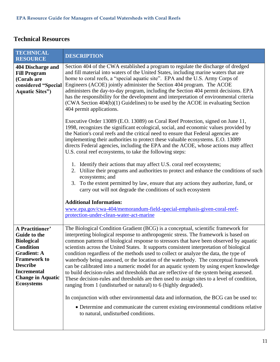### <span id="page-10-0"></span>**Technical Resources**

<span id="page-10-2"></span><span id="page-10-1"></span>

| <b>TECHNICAL</b><br><b>RESOURCE</b>                                                                                                                                                                                    | <b>DESCRIPTION</b>                                                                                                                                                                                                                                                                                                                                                                                                                                                                                                                                                                                                                                                                                                                                                                                                                                                                                                                                                                                                                                                                                                                                                                                                                                                                                                                                                                                                                                                                                                             |
|------------------------------------------------------------------------------------------------------------------------------------------------------------------------------------------------------------------------|--------------------------------------------------------------------------------------------------------------------------------------------------------------------------------------------------------------------------------------------------------------------------------------------------------------------------------------------------------------------------------------------------------------------------------------------------------------------------------------------------------------------------------------------------------------------------------------------------------------------------------------------------------------------------------------------------------------------------------------------------------------------------------------------------------------------------------------------------------------------------------------------------------------------------------------------------------------------------------------------------------------------------------------------------------------------------------------------------------------------------------------------------------------------------------------------------------------------------------------------------------------------------------------------------------------------------------------------------------------------------------------------------------------------------------------------------------------------------------------------------------------------------------|
| 404 Discharge and<br><b>Fill Program</b><br>(Corals are<br>considered "Special<br><b>Aquatic Sites"</b> )                                                                                                              | Section 404 of the CWA established a program to regulate the discharge of dredged<br>and fill material into waters of the United States, including marine waters that are<br>home to coral reefs, a "special aquatic site". EPA and the U.S. Army Corps of<br>Engineers (ACOE) jointly administer the Section 404 program. The ACOE<br>administers the day-to-day program, including the Section 404 permit decisions. EPA<br>has the responsibility for the development and interpretation of environmental criteria<br>$(CWA Section 404(b)(1) Guidelines)$ to be used by the ACOE in evaluating Section<br>404 permit applications.<br>Executive Order 13089 (E.O. 13089) on Coral Reef Protection, signed on June 11,<br>1998, recognizes the significant ecological, social, and economic values provided by<br>the Nation's coral reefs and the critical need to ensure that Federal agencies are<br>implementing their authorities to protect these valuable ecosystems. E.O. 13089<br>directs Federal agencies, including the EPA and the ACOE, whose actions may affect<br>U.S. coral reef ecosystems, to take the following steps:<br>1. Identify their actions that may affect U.S. coral reef ecosystems;<br>2. Utilize their programs and authorities to protect and enhance the conditions of such<br>ecosystems; and<br>To the extent permitted by law, ensure that any actions they authorize, fund, or<br>3.<br>carry out will not degrade the conditions of such ecosystem<br><b>Additional Information:</b> |
|                                                                                                                                                                                                                        | www.epa.gov/cwa-404/memorandum-field-special-emphasis-given-coral-reef-<br>protection-under-clean-water-act-marine                                                                                                                                                                                                                                                                                                                                                                                                                                                                                                                                                                                                                                                                                                                                                                                                                                                                                                                                                                                                                                                                                                                                                                                                                                                                                                                                                                                                             |
| A Practitioner'<br><b>Guide to the</b><br><b>Biological</b><br><b>Condition</b><br><b>Gradient: A</b><br><b>Framework to</b><br><b>Describe</b><br><b>Incremental</b><br><b>Change in Aquatic</b><br><b>Ecosystems</b> | The Biological Condition Gradient (BCG) is a conceptual, scientific framework for<br>interpreting biological response to anthropogenic stress. The framework is based on<br>common patterns of biological response to stressors that have been observed by aquatic<br>scientists across the United States. It supports consistent interpretation of biological<br>condition regardless of the methods used to collect or analyze the data, the type of<br>waterbody being assessed, or the location of the waterbody. The conceptual framework<br>can be calibrated into a numeric model for an aquatic system by using expert knowledge<br>to build decision-rules and thresholds that are reflective of the system being assessed.<br>These decision-rules and thresholds are then used to assign sites to a level of condition,<br>ranging from 1 (undisturbed or natural) to 6 (highly degraded).<br>In conjunction with other environmental data and information, the BCG can be used to:<br>• Determine and communicate the current existing environmental conditions relative<br>to natural, undisturbed conditions.                                                                                                                                                                                                                                                                                                                                                                                                    |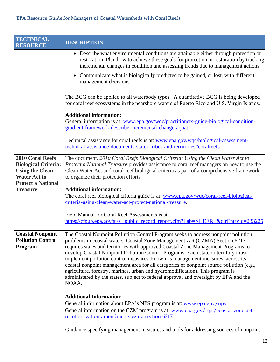<span id="page-11-1"></span><span id="page-11-0"></span>

| <b>TECHNICAL</b><br><b>RESOURCE</b> | <b>DESCRIPTION</b>                                                                                                                                                                                                                                                 |
|-------------------------------------|--------------------------------------------------------------------------------------------------------------------------------------------------------------------------------------------------------------------------------------------------------------------|
|                                     | • Describe what environmental conditions are attainable either through protection or<br>restoration. Plan how to achieve these goals for protection or restoration by tracking<br>incremental changes in condition and assessing trends due to management actions. |
|                                     | • Communicate what is biologically predicted to be gained, or lost, with different<br>management decisions.                                                                                                                                                        |
|                                     | The BCG can be applied to all waterbody types. A quantitative BCG is being developed<br>for coral reef ecosystems in the nearshore waters of Puerto Rico and U.S. Virgin Islands.                                                                                  |
|                                     | <b>Additional information:</b>                                                                                                                                                                                                                                     |
|                                     | General information is at: www.epa.gov/wqc/practitioners-guide-biological-condition-<br>gradient-framework-describe-incremental-change-aquatic.                                                                                                                    |
|                                     | Technical assistance for coral reefs is at: www.epa.gov/wqc/biological-assessment-<br>technical-assistance-documents-states-tribes-and-territories#coralreefs                                                                                                      |
| 2010 Coral Reefs                    | The document, 2010 Coral Reefs Biological Criteria: Using the Clean Water Act to                                                                                                                                                                                   |
| <b>Biological Criteria:</b>         | Protect a National Treasure provides assistance to coral reef managers on how to use the                                                                                                                                                                           |
| <b>Using the Clean</b>              | Clean Water Act and coral reef biological criteria as part of a comprehensive framework                                                                                                                                                                            |
| <b>Water Act to</b>                 | to organize their protection efforts.                                                                                                                                                                                                                              |
| <b>Protect a National</b>           |                                                                                                                                                                                                                                                                    |
| <b>Treasure</b>                     | <b>Additional information:</b>                                                                                                                                                                                                                                     |
|                                     | The coral reef biological criteria guide is at: www.epa.gov/wqc/coral-reef-biological-<br>criteria-using-clean-water-act-protect-national-treasure.                                                                                                                |
|                                     |                                                                                                                                                                                                                                                                    |
|                                     | Field Manual for Coral Reef Assessments is at:                                                                                                                                                                                                                     |
|                                     | https://cfpub.epa.gov/si/si_public_record_report.cfm?Lab=NHEERL&dirEntryId=233225                                                                                                                                                                                  |
|                                     |                                                                                                                                                                                                                                                                    |
| <b>Coastal Nonpoint</b>             | The Coastal Nonpoint Pollution Control Program seeks to address nonpoint pollution                                                                                                                                                                                 |
| <b>Pollution Control</b>            | problems in coastal waters. Coastal Zone Management Act (CZMA) Section 6217                                                                                                                                                                                        |
| <b>Program</b>                      | requires states and territories with approved Coastal Zone Management Programs to                                                                                                                                                                                  |
|                                     | develop Coastal Nonpoint Pollution Control Programs. Each state or territory must<br>implement pollution control measures, known as management measures, across its                                                                                                |
|                                     | coastal nonpoint management area for all categories of nonpoint source pollution (e.g.,                                                                                                                                                                            |
|                                     | agriculture, forestry, marinas, urban and hydromodification). This program is                                                                                                                                                                                      |
|                                     | administered by the states, subject to federal approval and oversight by EPA and the<br>NOAA.                                                                                                                                                                      |
|                                     | <b>Additional Information:</b>                                                                                                                                                                                                                                     |
|                                     | General information about EPA's NPS program is at: www.epa.gov/nps                                                                                                                                                                                                 |
|                                     | General information on the CZM program is at: www.epa.gov/nps/coastal-zone-act-                                                                                                                                                                                    |
|                                     | reauthorization-amendments-czara-section-6217                                                                                                                                                                                                                      |
|                                     | Guidance specifying management measures and tools for addressing sources of nonpoint                                                                                                                                                                               |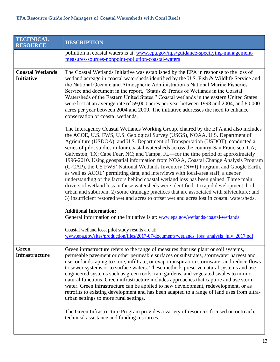<span id="page-12-1"></span><span id="page-12-0"></span>

| <b>TECHNICAL</b><br><b>RESOURCE</b>          | <b>DESCRIPTION</b>                                                                                                                                                                                                                                                                                                                                                                                                                                                                                                                                                                                                                                                                                                                                                                                                                                                                                                                                                                                                                                                                  |
|----------------------------------------------|-------------------------------------------------------------------------------------------------------------------------------------------------------------------------------------------------------------------------------------------------------------------------------------------------------------------------------------------------------------------------------------------------------------------------------------------------------------------------------------------------------------------------------------------------------------------------------------------------------------------------------------------------------------------------------------------------------------------------------------------------------------------------------------------------------------------------------------------------------------------------------------------------------------------------------------------------------------------------------------------------------------------------------------------------------------------------------------|
|                                              | pollution in coastal waters is at. www.epa.gov/nps/guidance-specifying-management-<br>measures-sources-nonpoint-pollution-coastal-waters                                                                                                                                                                                                                                                                                                                                                                                                                                                                                                                                                                                                                                                                                                                                                                                                                                                                                                                                            |
| <b>Coastal Wetlands</b><br><b>Initiative</b> | The Coastal Wetlands Initiative was established by the EPA in response to the loss of<br>wetland acreage in coastal watersheds identified by the U.S. Fish & Wildlife Service and<br>the National Oceanic and Atmospheric Administration's National Marine Fisheries<br>Service and document in the report, "Status & Trends of Wetlands in the Coastal<br>Watersheds of the Eastern United States." Coastal wetlands in the eastern United States<br>were lost at an average rate of 59,000 acres per year between 1998 and 2004, and 80,000<br>acres per year between 2004 and 2009. The initiative addresses the need to enhance<br>conservation of coastal wetlands.                                                                                                                                                                                                                                                                                                                                                                                                            |
|                                              | The Interagency Coastal Wetlands Working Group, chaired by the EPA and also includes<br>the ACOE, U.S. FWS, U.S. Geological Survey (USGS), NOAA, U.S. Department of<br>Agriculture (USDOA), and U.S. Department of Transportation (USDOT), conducted a<br>series of pilot studies in four coastal watersheds across the country-San Francisco, CA;<br>Galveston, TX; Cape Fear, NC; and Tampa, FL—for the time period of approximately<br>1996-2010. Using geospatial information from NOAA, Coastal Change Analysis Program<br>(C-CAP), the US FWS' National Wetlands Inventory (NWI) Program, and Google Earth,<br>as well as ACOE' permitting data, and interviews with local-area staff, a deeper<br>understanding of the factors behind coastal wetland loss has been gained. Three main<br>drivers of wetland loss in these watersheds were identified: 1) rapid development, both<br>urban and suburban; 2) some drainage practices that are associated with silviculture; and<br>3) insufficient restored wetland acres to offset wetland acres lost in coastal watersheds. |
|                                              | <b>Additional Information:</b><br>General information on the initiative is at: www.epa.gov/wetlands/coastal-wetlands                                                                                                                                                                                                                                                                                                                                                                                                                                                                                                                                                                                                                                                                                                                                                                                                                                                                                                                                                                |
|                                              | Coastal wetland loss, pilot study results are at:<br>www.epa.gov/sites/production/files/2017-07/documents/wetlands_loss_analysis_july_2017.pdf                                                                                                                                                                                                                                                                                                                                                                                                                                                                                                                                                                                                                                                                                                                                                                                                                                                                                                                                      |
| Green<br><b>Infrastructure</b>               | Green infrastructure refers to the range of measures that use plant or soil systems,<br>permeable pavement or other permeable surfaces or substrates, stormwater harvest and<br>use, or landscaping to store, infiltrate, or evapotranspiration stormwater and reduce flows<br>to sewer systems or to surface waters. These methods preserve natural systems and use<br>engineered systems such as green roofs, rain gardens, and vegetated swales to mimic<br>natural functions. Green infrastructure includes approaches that capture and use storm<br>water. Green infrastructure can be applied to new development, redevelopment, or as<br>retrofits to existing development and has been adapted to a range of land uses from ultra-<br>urban settings to more rural settings.<br>The Green Infrastructure Program provides a variety of resources focused on outreach,<br>technical assistance and funding resources.                                                                                                                                                        |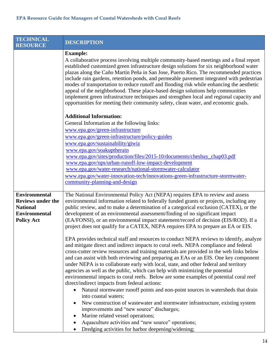<span id="page-13-0"></span>

| <b>TECHNICAL</b><br><b>RESOURCE</b>                                                                              | <b>DESCRIPTION</b>                                                                                                                                                                                                                                                                                                                                                                                                                                                                                                                                                                                                                                                                                                                                                                                                                                                                                                                                                                                                                                                                                                                                                                                                                                                                                                                                                                                                                                                                                                                                                                                                                  |
|------------------------------------------------------------------------------------------------------------------|-------------------------------------------------------------------------------------------------------------------------------------------------------------------------------------------------------------------------------------------------------------------------------------------------------------------------------------------------------------------------------------------------------------------------------------------------------------------------------------------------------------------------------------------------------------------------------------------------------------------------------------------------------------------------------------------------------------------------------------------------------------------------------------------------------------------------------------------------------------------------------------------------------------------------------------------------------------------------------------------------------------------------------------------------------------------------------------------------------------------------------------------------------------------------------------------------------------------------------------------------------------------------------------------------------------------------------------------------------------------------------------------------------------------------------------------------------------------------------------------------------------------------------------------------------------------------------------------------------------------------------------|
|                                                                                                                  | <b>Example:</b><br>A collaborative process involving multiple community-based meetings and a final report<br>established customized green infrastructure design solutions for six neighborhood water<br>plazas along the Caño Martín Peña in San Jose, Puerto Rico. The recommended practices<br>include rain gardens, retention ponds, and permeable pavement integrated with pedestrian<br>modes of transportation to reduce runoff and flooding risk while enhancing the aesthetic<br>appeal of the neighborhood. These place-based design solutions help communities<br>implement green infrastructure techniques and strengthen local and regional capacity and<br>opportunities for meeting their community safety, clean water, and economic goals.                                                                                                                                                                                                                                                                                                                                                                                                                                                                                                                                                                                                                                                                                                                                                                                                                                                                          |
|                                                                                                                  | <b>Additional Information:</b><br>General Information at the following links:<br>www.epa.gov/green-infrastructure<br>www.epa.gov/green-infrastructure/policy-guides<br>www.epa.gov/sustainability/giwiz<br>www.epa.gov/soakuptherain<br>www.epa.gov/sites/production/files/2015-10/documents/chesbay_chap03.pdf<br>www.epa.gov/nps/urban-runoff-low-impact-development<br>www.epa.gov/water-research/national-stormwater-calculator<br>www.epa.gov/water-innovation-tech/innovations-green-infrastructure-stormwater-<br>community-planning-and-design                                                                                                                                                                                                                                                                                                                                                                                                                                                                                                                                                                                                                                                                                                                                                                                                                                                                                                                                                                                                                                                                              |
| <b>Environmental</b><br><b>Reviews under the</b><br><b>National</b><br><b>Environmental</b><br><b>Policy Act</b> | The National Environmental Policy Act (NEPA) requires EPA to review and assess<br>environmental information related to federally funded grants or projects, including any<br>public review, and to make a determination of a categorical exclusion (CATEX), or the<br>development of an environmental assessment/finding of no significant impact<br>(EA/FONSI), or an environmental impact statement/record of decision (EIS/ROD). If a<br>project does not qualify for a CATEX, NEPA requires EPA to prepare an EA or EIS.<br>EPA provides technical staff and resources to conduct NEPA reviews to identify, analyze<br>and mitigate direct and indirect impacts to coral reefs. NEPA compliance and federal<br>cross-cutter review resources and training materials are provided in the web links below<br>and can assist with both reviewing and preparing an EAs or an EIS. One key component<br>under NEPA is to collaborate early with local, state, and other federal and territory<br>agencies as well as the public, which can help with minimizing the potential<br>environmental impacts to coral reefs. Below are some examples of potential coral reef<br>direct/indirect impacts from federal actions:<br>Natural stormwater runoff points and non-point sources in watersheds that drain<br>$\bullet$<br>into coastal waters;<br>New construction of wastewater and stormwater infrastructure, existing system<br>٠<br>improvements and "new source" discharges;<br>Marine related vessel operations;<br>Aquaculture activities and "new source" operations;<br>Dredging activities for harbor deepening/widening; |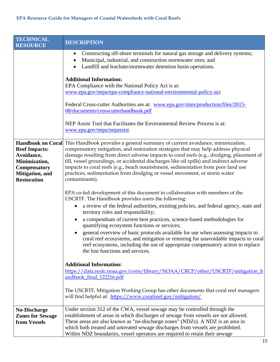<span id="page-14-1"></span><span id="page-14-0"></span>

| <b>TECHNICAL</b><br><b>RESOURCE</b>                                                                                 | <b>DESCRIPTION</b>                                                                                                                                                                                                                                                                                                                                                                                                                                                                                                                                                                                                                                                                                                                                                                                                                                                                                                                                           |
|---------------------------------------------------------------------------------------------------------------------|--------------------------------------------------------------------------------------------------------------------------------------------------------------------------------------------------------------------------------------------------------------------------------------------------------------------------------------------------------------------------------------------------------------------------------------------------------------------------------------------------------------------------------------------------------------------------------------------------------------------------------------------------------------------------------------------------------------------------------------------------------------------------------------------------------------------------------------------------------------------------------------------------------------------------------------------------------------|
|                                                                                                                     | Constructing off-shore terminals for natural gas storage and delivery systems;<br>٠<br>Municipal, industrial, and construction stormwater sites; and<br>Landfill and leachate/stormwater detention basin operations.                                                                                                                                                                                                                                                                                                                                                                                                                                                                                                                                                                                                                                                                                                                                         |
|                                                                                                                     | <b>Additional Information:</b><br>EPA Compliance with the National Policy Act is at:<br>www.epa.gov/nepa/epa-compliance-national-environmental-policy-act                                                                                                                                                                                                                                                                                                                                                                                                                                                                                                                                                                                                                                                                                                                                                                                                    |
|                                                                                                                     | Federal Cross-cutter Authorities are at: www.epa.gov/sites/production/files/2015-<br>08/documents/crosscutterhandbook.pdf                                                                                                                                                                                                                                                                                                                                                                                                                                                                                                                                                                                                                                                                                                                                                                                                                                    |
|                                                                                                                     | NEP Assist Tool that Facilitates the Environmental Review Process is at:<br>www.epa.gov/nepa/nepassist                                                                                                                                                                                                                                                                                                                                                                                                                                                                                                                                                                                                                                                                                                                                                                                                                                                       |
| <b>Reef Impacts:</b><br>Avoidance,<br>Minimization,<br><b>Compensatory</b><br>Mitigation, and<br><b>Restoration</b> | Handbook on Coral This Handbook provides a general summary of current avoidance, minimization,<br>compensatory mitigation, and restoration strategies that may help address physical<br>damage resulting from direct adverse impacts to coral reefs (e.g., dredging, placement of<br>fill, vessel groundings, or accidental discharges like oil spills) and indirect adverse<br>impacts to coral reefs (e.g., beach nourishment, sedimentation from poor land use<br>practices, sedimentation from dredging or vessel movement, or storm water<br>contaminants).                                                                                                                                                                                                                                                                                                                                                                                             |
|                                                                                                                     | EPA co-led development of this document in collaboration with members of the<br>USCRTF. The Handbook provides users the following:<br>a review of the federal authorities, existing policies, and federal agency, state and<br>$\bullet$<br>territory roles and responsibility;<br>a compendium of current best practices, science-based methodologies for<br>quantifying ecosystem functions or services;<br>general overview of basic protocols available for use when assessing impacts to<br>$\bullet$<br>coral reef ecosystems, and mitigation or restoring for unavoidable impacts to coral<br>reef ecosystems, including the use of appropriate compensatory action to replace<br>the lost functions and services.<br><b>Additional Information:</b><br>https://data.nodc.noaa.gov/coris/library/NOAA/CRCP/other/USCRTF/mitigation_h<br>andbook_final_122216.pdf<br>The USCRTF, Mitigation Working Group has other documents that coral reef managers |
|                                                                                                                     | will find helpful at: https://www.coralreef.gov/mitigation/                                                                                                                                                                                                                                                                                                                                                                                                                                                                                                                                                                                                                                                                                                                                                                                                                                                                                                  |
| <b>No-Discharge</b><br><b>Zones for Sewage</b><br>from Vessels                                                      | Under section 312 of the CWA, vessel sewage may be controlled through the<br>establishment of areas in which discharges of sewage from vessels are not allowed.<br>These areas are also known as "no-discharge zones" (NDZs). A NDZ is an area in<br>which both treated and untreated sewage discharges from vessels are prohibited.<br>Within NDZ boundaries, vessel operators are required to retain their sewage                                                                                                                                                                                                                                                                                                                                                                                                                                                                                                                                          |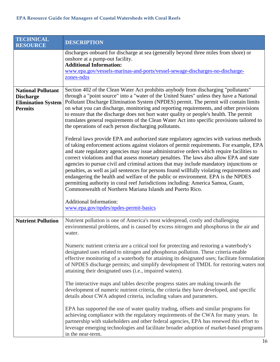<span id="page-15-1"></span><span id="page-15-0"></span>

| <b>TECHNICAL</b><br><b>RESOURCE</b>                                                          | <b>DESCRIPTION</b>                                                                                                                                                                                                                                                                                                                                                                                                                                                                                                                                                                                                                                                                                                                                                                                                                                                                                      |
|----------------------------------------------------------------------------------------------|---------------------------------------------------------------------------------------------------------------------------------------------------------------------------------------------------------------------------------------------------------------------------------------------------------------------------------------------------------------------------------------------------------------------------------------------------------------------------------------------------------------------------------------------------------------------------------------------------------------------------------------------------------------------------------------------------------------------------------------------------------------------------------------------------------------------------------------------------------------------------------------------------------|
|                                                                                              | discharges onboard for discharge at sea (generally beyond three miles from shore) or<br>onshore at a pump-out facility.<br><b>Additional Information:</b><br>www.epa.gov/vessels-marinas-and-ports/vessel-sewage-discharges-no-discharge-<br>zones-ndzs                                                                                                                                                                                                                                                                                                                                                                                                                                                                                                                                                                                                                                                 |
| <b>National Pollutant</b><br><b>Discharge</b><br><b>Elimination System</b><br><b>Permits</b> | Section 402 of the Clean Water Act prohibits anybody from discharging "pollutants"<br>through a "point source" into a "water of the United States" unless they have a National<br>Pollutant Discharge Elimination System (NPDES) permit. The permit will contain limits<br>on what you can discharge, monitoring and reporting requirements, and other provisions<br>to ensure that the discharge does not hurt water quality or people's health. The permit<br>translates general requirements of the Clean Water Act into specific provisions tailored to<br>the operations of each person discharging pollutants.<br>Federal laws provide EPA and authorized state regulatory agencies with various methods<br>of taking enforcement actions against violators of permit requirements. For example, EPA<br>and state regulatory agencies may issue administrative orders which require facilities to |
|                                                                                              | correct violations and that assess monetary penalties. The laws also allow EPA and state<br>agencies to pursue civil and criminal actions that may include mandatory injunctions or<br>penalties, as well as jail sentences for persons found willfully violating requirements and<br>endangering the health and welfare of the public or environment. EPA is the NPDES<br>permitting authority in coral reef Jurisdictions including: America Samoa, Guam,<br>Commonwealth of Northern Mariana Islands and Puerto Rico.<br><b>Additional Information:</b><br>www.epa.gov/npdes/npdes-permit-basics                                                                                                                                                                                                                                                                                                     |
| <b>Nutrient Pollution</b>                                                                    | Nutrient pollution is one of America's most widespread, costly and challenging<br>environmental problems, and is caused by excess nitrogen and phosphorus in the air and<br>water.                                                                                                                                                                                                                                                                                                                                                                                                                                                                                                                                                                                                                                                                                                                      |
|                                                                                              | Numeric nutrient criteria are a critical tool for protecting and restoring a waterbody's<br>designated uses related to nitrogen and phosphorus pollution. These criteria enable<br>effective monitoring of a waterbody for attaining its designated uses; facilitate formulation<br>of NPDES discharge permits; and simplify development of TMDL for restoring waters not<br>attaining their designated uses (i.e., impaired waters).                                                                                                                                                                                                                                                                                                                                                                                                                                                                   |
|                                                                                              | The interactive maps and tables describe progress states are making towards the<br>development of numeric nutrient criteria, the criteria they have developed, and specific<br>details about CWA adopted criteria, including values and parameters.                                                                                                                                                                                                                                                                                                                                                                                                                                                                                                                                                                                                                                                     |
|                                                                                              | EPA has supported the use of water quality trading, offsets and similar programs for<br>achieving compliance with the regulatory requirements of the CWA for many years. In<br>partnership with stakeholders and other federal agencies, EPA has renewed this effort to<br>leverage emerging technologies and facilitate broader adoption of market-based programs<br>in the near-term.                                                                                                                                                                                                                                                                                                                                                                                                                                                                                                                 |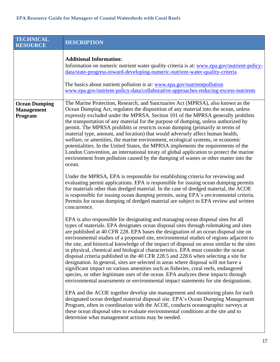$\mathsf{l}$ 

<span id="page-16-0"></span>

| <b>TECHNICAL</b><br><b>RESOURCE</b>                  | <b>DESCRIPTION</b>                                                                                                                                                                                                                                                                                                                                                                                                                                                                                                                                                                                                                                                                                                                                                                                                                                                                                                                                                                                                                                                                                                                                                                                                                                                                                                                                                                                                                                                                                                                                                                                                                                                                                                                                                                                                                                                                                                                                                                                                                                                                                                                                                                                                                                                                                                                                                                                                                                                                                                                                                                                                                                                                                                                                              |
|------------------------------------------------------|-----------------------------------------------------------------------------------------------------------------------------------------------------------------------------------------------------------------------------------------------------------------------------------------------------------------------------------------------------------------------------------------------------------------------------------------------------------------------------------------------------------------------------------------------------------------------------------------------------------------------------------------------------------------------------------------------------------------------------------------------------------------------------------------------------------------------------------------------------------------------------------------------------------------------------------------------------------------------------------------------------------------------------------------------------------------------------------------------------------------------------------------------------------------------------------------------------------------------------------------------------------------------------------------------------------------------------------------------------------------------------------------------------------------------------------------------------------------------------------------------------------------------------------------------------------------------------------------------------------------------------------------------------------------------------------------------------------------------------------------------------------------------------------------------------------------------------------------------------------------------------------------------------------------------------------------------------------------------------------------------------------------------------------------------------------------------------------------------------------------------------------------------------------------------------------------------------------------------------------------------------------------------------------------------------------------------------------------------------------------------------------------------------------------------------------------------------------------------------------------------------------------------------------------------------------------------------------------------------------------------------------------------------------------------------------------------------------------------------------------------------------------|
|                                                      | <b>Additional Information:</b><br>Information on numeric nutrient water quality criteria is at: www.epa.gov/nutrient-policy-<br>data/state-progress-toward-developing-numeric-nutrient-water-quality-criteria<br>The basics about nutrient pollution is at: www.epa.gov/nutrient pollution<br>www.epa.gov/nutrient-policy-data/collaborative-approaches-reducing-excess-nutrients                                                                                                                                                                                                                                                                                                                                                                                                                                                                                                                                                                                                                                                                                                                                                                                                                                                                                                                                                                                                                                                                                                                                                                                                                                                                                                                                                                                                                                                                                                                                                                                                                                                                                                                                                                                                                                                                                                                                                                                                                                                                                                                                                                                                                                                                                                                                                                               |
| <b>Ocean Dumping</b><br><b>Management</b><br>Program | The Marine Protection, Research, and Sanctuaries Act (MPRSA), also known as the<br>Ocean Dumping Act, regulates the disposition of any material into the ocean, unless<br>expressly excluded under the MPRSA. Section 101 of the MPRSA generally prohibits<br>the transportation of any material for the purpose of dumping, unless authorized by<br>permit. The MPRSA prohibits or restricts ocean dumping (primarily in terms of<br>material type, amount, and location) that would adversely affect human health,<br>welfare, or amenities, the marine environment, ecological systems, or economic<br>potentialities. In the United States, the MPRSA implements the requirements of the<br>London Convention, an international treaty of global application to protect the marine<br>environment from pollution caused by the dumping of wastes or other matter into the<br>ocean.<br>Under the MPRSA, EPA is responsible for establishing criteria for reviewing and<br>evaluating permit applications. EPA is responsible for issuing ocean dumping permits<br>for materials other than dredged material. In the case of dredged material, the ACOE<br>is responsible for issuing ocean dumping permits, using EPA's environmental criteria.<br>Permits for ocean dumping of dredged material are subject to EPA review and written<br>concurrence.<br>EPA is also responsible for designating and managing ocean disposal sites for all<br>types of materials. EPA designates ocean disposal sites through rulemaking and sites<br>are published at 40 CFR 228. EPA bases the designation of an ocean disposal site on<br>environmental studies of a proposed site, environmental studies of regions adjacent to<br>the site, and historical knowledge of the impact of disposal on areas similar to the sites<br>in physical, chemical and biological characteristics. EPA must consider the ocean<br>disposal criteria published in the 40 CFR 228.5 and 228.6 when selecting a site for<br>designation. In general, sites are selected in areas where disposal will not have a<br>significant impact on various amenities such as fisheries, coral reefs, endangered<br>species, or other legitimate uses of the ocean. EPA analyzes these impacts through<br>environmental assessments or environmental impact statements for site designations.<br>EPA and the ACOE together develop site management and monitoring plans for each<br>designated ocean dredged material disposal site. EPA's Ocean Dumping Management<br>Program, often in coordination with the ACOE, conducts oceanographic surveys at<br>these ocean disposal sites to evaluate environmental conditions at the site and to<br>determine what management actions may be needed. |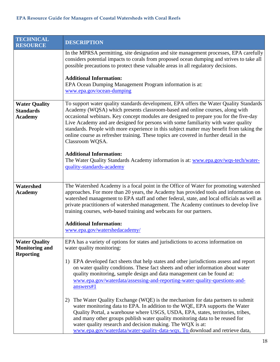<span id="page-17-2"></span><span id="page-17-1"></span><span id="page-17-0"></span>

| <b>TECHNICAL</b><br><b>RESOURCE</b>                               | <b>DESCRIPTION</b>                                                                                                                                                                                                                                                                                                                                                                                                                                                                                                                                                                                                                                                                                                   |
|-------------------------------------------------------------------|----------------------------------------------------------------------------------------------------------------------------------------------------------------------------------------------------------------------------------------------------------------------------------------------------------------------------------------------------------------------------------------------------------------------------------------------------------------------------------------------------------------------------------------------------------------------------------------------------------------------------------------------------------------------------------------------------------------------|
|                                                                   | In the MPRSA permitting, site designation and site management processes, EPA carefully<br>considers potential impacts to corals from proposed ocean dumping and strives to take all<br>possible precautions to protect these valuable areas in all regulatory decisions.                                                                                                                                                                                                                                                                                                                                                                                                                                             |
|                                                                   | <b>Additional Information:</b><br>EPA Ocean Dumping Management Program information is at:<br>www.epa.gov/ocean-dumping                                                                                                                                                                                                                                                                                                                                                                                                                                                                                                                                                                                               |
| <b>Water Quality</b><br><b>Standards</b><br><b>Academy</b>        | To support water quality standards development, EPA offers the Water Quality Standards<br>Academy (WQSA) which presents classroom-based and online courses, along with<br>occasional webinars. Key concept modules are designed to prepare you for the five-day<br>Live Academy and are designed for persons with some familiarity with water quality<br>standards. People with more experience in this subject matter may benefit from taking the<br>online course as refresher training. These topics are covered in further detail in the<br>Classroom WQSA.<br><b>Additional Information:</b><br>The Water Quality Standards Academy information is at: www.epa.gov/wqs-tech/water-<br>quality-standards-academy |
| Watershed                                                         | The Watershed Academy is a focal point in the Office of Water for promoting watershed                                                                                                                                                                                                                                                                                                                                                                                                                                                                                                                                                                                                                                |
| <b>Academy</b>                                                    | approaches. For more than 20 years, the Academy has provided tools and information on<br>watershed management to EPA staff and other federal, state, and local officials as well as<br>private practitioners of watershed management. The Academy continues to develop live<br>training courses, web-based training and webcasts for our partners.                                                                                                                                                                                                                                                                                                                                                                   |
|                                                                   | <b>Additional Information:</b><br>www.epa.gov/watershedacademy/                                                                                                                                                                                                                                                                                                                                                                                                                                                                                                                                                                                                                                                      |
| <b>Water Quality</b><br><b>Monitoring and</b><br><b>Reporting</b> | EPA has a variety of options for states and jurisdictions to access information on<br>water quality monitoring:                                                                                                                                                                                                                                                                                                                                                                                                                                                                                                                                                                                                      |
|                                                                   | EPA developed fact sheets that help states and other jurisdictions assess and report<br>1)<br>on water quality conditions. These fact sheets and other information about water<br>quality monitoring, sample design and data management can be found at:<br>www.epa.gov/waterdata/assessing-and-reporting-water-quality-questions-and-<br>answers#1                                                                                                                                                                                                                                                                                                                                                                  |
|                                                                   | The Water Quality Exchange (WQE) is the mechanism for data partners to submit<br>2)<br>water monitoring data to EPA. In addition to the WQE, EPA supports the Water<br>Quality Portal, a warehouse where USGS, USDA, EPA, states, territories, tribes,<br>and many other groups publish water quality monitoring data to be reused for<br>water quality research and decision making. The WQX is at:<br>www.epa.gov/waterdata/water-quality-data-wqx. To download and retrieve data,                                                                                                                                                                                                                                 |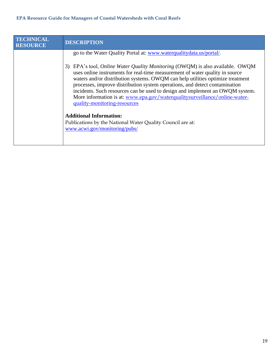| <b>TECHNICAL</b><br><b>RESOURCE</b> | <b>DESCRIPTION</b>                                                                                                                                                                                                                                                                                                               |
|-------------------------------------|----------------------------------------------------------------------------------------------------------------------------------------------------------------------------------------------------------------------------------------------------------------------------------------------------------------------------------|
|                                     | go to the Water Quality Portal at: www.waterqualitydata.us/portal/.<br>EPA's tool, <i>Online Water Quality Monitoring</i> (OWQM) is also available. OWQM<br>3)<br>uses online instruments for real-time measurement of water quality in source<br>waters and/or distribution systems. OWQM can help utilities optimize treatment |
|                                     | processes, improve distribution system operations, and detect contamination<br>incidents. Such resources can be used to design and implement an OWQM system.<br>More information is at: www.epa.gov/waterqualitysurveillance/online-water-<br>quality-monitoring-resources                                                       |
|                                     | <b>Additional Information:</b>                                                                                                                                                                                                                                                                                                   |
|                                     | Publications by the National Water Quality Council are at:<br>www.acwi.gov/monitoring/pubs/                                                                                                                                                                                                                                      |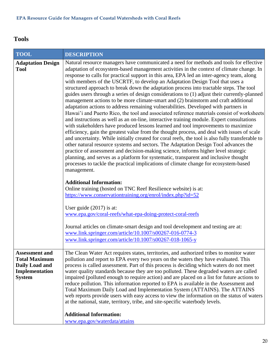## <span id="page-19-0"></span>**Tools**

<span id="page-19-2"></span><span id="page-19-1"></span>

| <b>TOOL</b>                                                                                        | <b>DESCRIPTION</b>                                                                                                                                                                                                                                                                                                                                                                                                                                                                                                                                                                                                                                                                                                                                                                                                                                                                                                                                                                                                                                                                                                                                                                                                                                                                                                                                                                                                                                                                                                                                                                                                                                                                                                                                                                                                                                                    |
|----------------------------------------------------------------------------------------------------|-----------------------------------------------------------------------------------------------------------------------------------------------------------------------------------------------------------------------------------------------------------------------------------------------------------------------------------------------------------------------------------------------------------------------------------------------------------------------------------------------------------------------------------------------------------------------------------------------------------------------------------------------------------------------------------------------------------------------------------------------------------------------------------------------------------------------------------------------------------------------------------------------------------------------------------------------------------------------------------------------------------------------------------------------------------------------------------------------------------------------------------------------------------------------------------------------------------------------------------------------------------------------------------------------------------------------------------------------------------------------------------------------------------------------------------------------------------------------------------------------------------------------------------------------------------------------------------------------------------------------------------------------------------------------------------------------------------------------------------------------------------------------------------------------------------------------------------------------------------------------|
| <b>Adaptation Design</b><br><b>Tool</b>                                                            | Natural resource managers have communicated a need for methods and tools for effective<br>adaptation of ecosystem-based management activities in the context of climate change. In<br>response to calls for practical support in this area, EPA led an inter-agency team, along<br>with members of the USCRTF, to develop an Adaptation Design Tool that uses a<br>structured approach to break down the adaptation process into tractable steps. The tool<br>guides users through a series of design considerations to (1) adjust their currently-planned<br>management actions to be more climate-smart and (2) brainstorm and craft additional<br>adaptation actions to address remaining vulnerabilities. Developed with partners in<br>Hawai'i and Puerto Rico, the tool and associated reference materials consist of worksheets<br>and instructions as well as an on-line, interactive training module. Expert consultations<br>with stakeholders have produced lessons learned and tool improvements to maximize<br>efficiency, gain the greatest value from the thought process, and deal with issues of scale<br>and uncertainty. While initially created for coral reefs, the tool is also fully transferable to<br>other natural resource systems and sectors. The Adaptation Design Tool advances the<br>practice of assessment and decision-making science, informs higher level strategic<br>planning, and serves as a platform for systematic, transparent and inclusive thought<br>processes to tackle the practical implications of climate change for ecosystem-based<br>management.<br><b>Additional Information:</b><br>Online training (hosted on TNC Reef Resilience website) is at:<br>https://www.conservationtraining.org/enrol/index.php?id=52<br>User guide $(2017)$ is at:<br>www.epa.gov/coral-reefs/what-epa-doing-protect-coral-reefs |
|                                                                                                    | Journal articles on climate-smart design and tool development and testing are at:<br>www.link.springer.com/article/10.1007/s00267-016-0774-3<br>www.link.springer.com/article/10.1007/s00267-018-1065-y                                                                                                                                                                                                                                                                                                                                                                                                                                                                                                                                                                                                                                                                                                                                                                                                                                                                                                                                                                                                                                                                                                                                                                                                                                                                                                                                                                                                                                                                                                                                                                                                                                                               |
| <b>Assessment and</b><br><b>Total Maximum</b><br>Daily Load and<br>Implementation<br><b>System</b> | The Clean Water Act requires states, territories, and authorized tribes to monitor water<br>pollution and report to EPA every two years on the waters they have evaluated. This<br>process is called assessment. Part of this process is deciding which waters do not meet<br>water quality standards because they are too polluted. These degraded waters are called<br>impaired (polluted enough to require action) and are placed on a list for future actions to<br>reduce pollution. This information reported to EPA is available in the Assessment and<br>Total Maximum Daily Load and Implementation System (ATTAINS). The ATTAINS<br>web reports provide users with easy access to view the information on the status of waters<br>at the national, state, territory, tribe, and site-specific waterbody levels.                                                                                                                                                                                                                                                                                                                                                                                                                                                                                                                                                                                                                                                                                                                                                                                                                                                                                                                                                                                                                                             |
|                                                                                                    | <b>Additional Information:</b><br>www.epa.gov/waterdata/attains                                                                                                                                                                                                                                                                                                                                                                                                                                                                                                                                                                                                                                                                                                                                                                                                                                                                                                                                                                                                                                                                                                                                                                                                                                                                                                                                                                                                                                                                                                                                                                                                                                                                                                                                                                                                       |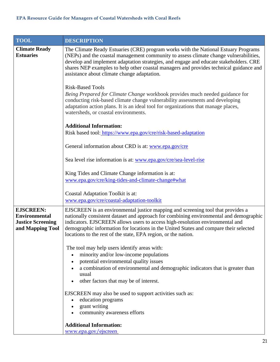<span id="page-20-1"></span><span id="page-20-0"></span>

| <b>TOOL</b>                                                                              | <b>DESCRIPTION</b>                                                                                                                                                                                                                                                                                                                                                                                                    |
|------------------------------------------------------------------------------------------|-----------------------------------------------------------------------------------------------------------------------------------------------------------------------------------------------------------------------------------------------------------------------------------------------------------------------------------------------------------------------------------------------------------------------|
| <b>Climate Ready</b><br><b>Estuaries</b>                                                 | The Climate Ready Estuaries (CRE) program works with the National Estuary Programs<br>(NEPs) and the coastal management community to assess climate change vulnerabilities,<br>develop and implement adaptation strategies, and engage and educate stakeholders. CRE<br>shares NEP examples to help other coastal managers and provides technical guidance and<br>assistance about climate change adaptation.         |
|                                                                                          | <b>Risk-Based Tools</b><br>Being Prepared for Climate Change workbook provides much needed guidance for<br>conducting risk-based climate change vulnerability assessments and developing<br>adaptation action plans. It is an ideal tool for organizations that manage places,<br>watersheds, or coastal environments.                                                                                                |
|                                                                                          | <b>Additional Information:</b><br>Risk based tool: https://www.epa.gov/cre/risk-based-adaptation                                                                                                                                                                                                                                                                                                                      |
|                                                                                          | General information about CRD is at: www.epa.gov/cre                                                                                                                                                                                                                                                                                                                                                                  |
|                                                                                          | Sea level rise information is at: www.epa.gov/cre/sea-level-rise                                                                                                                                                                                                                                                                                                                                                      |
|                                                                                          | King Tides and Climate Change information is at:                                                                                                                                                                                                                                                                                                                                                                      |
|                                                                                          | www.epa.gov/cre/king-tides-and-climate-change#what                                                                                                                                                                                                                                                                                                                                                                    |
|                                                                                          | Coastal Adaptation Toolkit is at:<br>www.epa.gov/cre/coastal-adaptation-toolkit                                                                                                                                                                                                                                                                                                                                       |
| <b>EJSCREEN:</b><br><b>Environmental</b><br><b>Justice Screening</b><br>and Mapping Tool | EJSCREEN is an environmental justice mapping and screening tool that provides a<br>nationally consistent dataset and approach for combining environmental and demographic<br>indicators. EJSCREEN allows users to access high-resolution environmental and<br>demographic information for locations in the United States and compare their selected<br>locations to the rest of the state, EPA region, or the nation. |
|                                                                                          | The tool may help users identify areas with:<br>minority and/or low-income populations<br>$\bullet$<br>potential environmental quality issues<br>a combination of environmental and demographic indicators that is greater than<br>usual<br>other factors that may be of interest.                                                                                                                                    |
|                                                                                          | EJSCREEN may also be used to support activities such as:<br>education programs<br>grant writing<br>community awareness efforts                                                                                                                                                                                                                                                                                        |
|                                                                                          | <b>Additional Information:</b><br>www.epa.gov/ejscreen                                                                                                                                                                                                                                                                                                                                                                |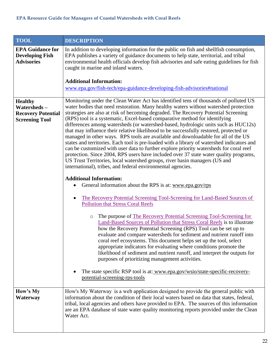<span id="page-21-2"></span><span id="page-21-1"></span><span id="page-21-0"></span>

| <b>TOOL</b>                                                                         | <b>DESCRIPTION</b>                                                                                                                                                                                                                                                                                                                                                                                                                                                                                                                                                                                                                                                                                                                                                                                                                                                                                                                                                                                                                                  |
|-------------------------------------------------------------------------------------|-----------------------------------------------------------------------------------------------------------------------------------------------------------------------------------------------------------------------------------------------------------------------------------------------------------------------------------------------------------------------------------------------------------------------------------------------------------------------------------------------------------------------------------------------------------------------------------------------------------------------------------------------------------------------------------------------------------------------------------------------------------------------------------------------------------------------------------------------------------------------------------------------------------------------------------------------------------------------------------------------------------------------------------------------------|
| <b>EPA Guidance for</b><br><b>Developing Fish</b><br><b>Advisories</b>              | In addition to developing information for the public on fish and shellfish consumption,<br>EPA publishes a variety of guidance documents to help state, territorial, and tribal<br>environmental health officials develop fish advisories and safe eating guidelines for fish<br>caught in marine and inland waters.                                                                                                                                                                                                                                                                                                                                                                                                                                                                                                                                                                                                                                                                                                                                |
|                                                                                     | <b>Additional Information:</b><br>www.epa.gov/fish-tech/epa-guidance-developing-fish-advisories#national                                                                                                                                                                                                                                                                                                                                                                                                                                                                                                                                                                                                                                                                                                                                                                                                                                                                                                                                            |
| <b>Healthy</b><br>Watersheds-<br><b>Recovery Potential</b><br><b>Screening Tool</b> | Monitoring under the Clean Water Act has identified tens of thousands of polluted US<br>water bodies that need restoration. Many healthy waters without watershed protection<br>strategies are also at risk of becoming degraded. The Recovery Potential Screening<br>(RPS) tool is a systematic, Excel-based comparative method for identifying<br>differences among watersheds (or watershed-based, hydrologic units such as HUC12s)<br>that may influence their relative likelihood to be successfully restored, protected or<br>managed in other ways. RPS tools are available and downloadable for all of the US<br>states and territories. Each tool is pre-loaded with a library of watershed indicators and<br>can be customized with user data to further explore priority watersheds for coral reef<br>protection. Since 2004, RPS users have included over 37 state water quality programs,<br>US Trust Territories, local watershed groups, river basin managers (US and<br>international), tribes, and federal environmental agencies. |
|                                                                                     | <b>Additional Information:</b><br>General information about the RPS is at: www.epa.gov/rps<br>٠                                                                                                                                                                                                                                                                                                                                                                                                                                                                                                                                                                                                                                                                                                                                                                                                                                                                                                                                                     |
|                                                                                     | The Recovery Potential Screening Tool-Screening for Land-Based Sources of<br>$\bullet$<br><b>Pollution that Stress Coral Reefs</b>                                                                                                                                                                                                                                                                                                                                                                                                                                                                                                                                                                                                                                                                                                                                                                                                                                                                                                                  |
|                                                                                     | The purpose of The Recovery Potential Screening Tool-Screening for<br>$\circ$<br>Land-Based Sources of Pollution that Stress Coral Reefs is to illustrate<br>how the Recovery Potential Screening (RPS) Tool can be set up to<br>evaluate and compare watersheds for sediment and nutrient runoff into<br>coral reef ecosystems. This document helps set up the tool, select<br>appropriate indicators for evaluating where conditions promote the<br>likelihood of sediment and nutrient runoff, and interpret the outputs for<br>purposes of prioritizing management activities.                                                                                                                                                                                                                                                                                                                                                                                                                                                                  |
|                                                                                     | The state specific RSP tool is at: www.epa.gov/wsio/state-specific-recovery-<br>potential-screening-rps-tools                                                                                                                                                                                                                                                                                                                                                                                                                                                                                                                                                                                                                                                                                                                                                                                                                                                                                                                                       |
| How's My<br>Waterway                                                                | How's My Waterway is a web application designed to provide the general public with<br>information about the condition of their local waters based on data that states, federal,<br>tribal, local agencies and others have provided to EPA. The sources of this information<br>are an EPA database of state water quality monitoring reports provided under the Clean<br>Water Act.                                                                                                                                                                                                                                                                                                                                                                                                                                                                                                                                                                                                                                                                  |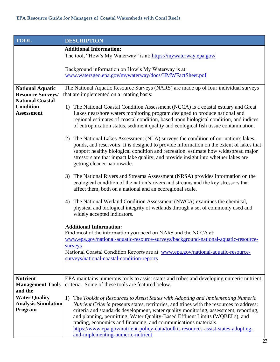<span id="page-22-1"></span><span id="page-22-0"></span>

| <b>TOOL</b>                                                                                                             | <b>DESCRIPTION</b>                                                                                                                                                                                                                                                                                                                                                                                                                                                                                                                                                                                                                                                                                                                                                                                                                                                                                                                                                                                                                                                                                                                                                                                                                                                                                                                                                     |
|-------------------------------------------------------------------------------------------------------------------------|------------------------------------------------------------------------------------------------------------------------------------------------------------------------------------------------------------------------------------------------------------------------------------------------------------------------------------------------------------------------------------------------------------------------------------------------------------------------------------------------------------------------------------------------------------------------------------------------------------------------------------------------------------------------------------------------------------------------------------------------------------------------------------------------------------------------------------------------------------------------------------------------------------------------------------------------------------------------------------------------------------------------------------------------------------------------------------------------------------------------------------------------------------------------------------------------------------------------------------------------------------------------------------------------------------------------------------------------------------------------|
|                                                                                                                         | <b>Additional Information:</b><br>The tool, "How's My Waterway" is at: https://mywaterway.epa.gov/                                                                                                                                                                                                                                                                                                                                                                                                                                                                                                                                                                                                                                                                                                                                                                                                                                                                                                                                                                                                                                                                                                                                                                                                                                                                     |
|                                                                                                                         | Background information on How's My Waterway is at:<br>www.watersgeo.epa.gov/mywaterway/docs/HMWFactSheet.pdf                                                                                                                                                                                                                                                                                                                                                                                                                                                                                                                                                                                                                                                                                                                                                                                                                                                                                                                                                                                                                                                                                                                                                                                                                                                           |
| <b>National Aquatic</b><br><b>Resource Surveys/</b><br><b>National Coastal</b><br><b>Condition</b><br><b>Assessment</b> | The National Aquatic Resource Surveys (NARS) are made up of four individual surveys<br>that are implemented on a rotating basis:<br>1) The National Coastal Condition Assessment (NCCA) is a coastal estuary and Great<br>Lakes nearshore waters monitoring program designed to produce national and<br>regional estimates of coastal condition, based upon biological condition, and indices<br>of eutrophication status, sediment quality and ecological fish tissue contamination.<br>The National Lakes Assessment (NLA) surveys the condition of our nation's lakes,<br>2)<br>ponds, and reservoirs. It is designed to provide information on the extent of lakes that<br>support healthy biological condition and recreation, estimate how widespread major<br>stressors are that impact lake quality, and provide insight into whether lakes are<br>getting cleaner nationwide.<br>The National Rivers and Streams Assessment (NRSA) provides information on the<br>3)<br>ecological condition of the nation's rivers and streams and the key stressors that<br>affect them, both on a national and an ecoregional scale.<br>The National Wetland Condition Assessment (NWCA) examines the chemical,<br>4)<br>physical and biological integrity of wetlands through a set of commonly used and<br>widely accepted indicators.<br><b>Additional Information:</b> |
|                                                                                                                         | Find most of the information you need on NARS and the NCCA at:<br>www.epa.gov/national-aquatic-resource-surveys/background-national-aquatic-resource-<br>surveys<br>National Coastal Condition Reports are at: www.epa.gov/national-aquatic-resource-<br>surveys/national-coastal-condition-reports                                                                                                                                                                                                                                                                                                                                                                                                                                                                                                                                                                                                                                                                                                                                                                                                                                                                                                                                                                                                                                                                    |
| <b>Nutrient</b><br><b>Management Tools</b><br>and the                                                                   | EPA maintains numerous tools to assist states and tribes and developing numeric nutrient<br>criteria. Some of these tools are featured below.                                                                                                                                                                                                                                                                                                                                                                                                                                                                                                                                                                                                                                                                                                                                                                                                                                                                                                                                                                                                                                                                                                                                                                                                                          |
| <b>Water Quality</b><br><b>Analysis Simulation</b><br>Program                                                           | 1)<br>The Toolkit of Resources to Assist States with Adopting and Implementing Numeric<br>Nutrient Criteria presents states, territories, and tribes with the resources to address:<br>criteria and standards development, water quality monitoring, assessment, reporting,<br>and planning, permitting, Water Quality-Based Effluent Limits (WQBELs), and<br>trading, economics and financing, and communications materials.<br>https://www.epa.gov/nutrient-policy-data/toolkit-resources-assist-states-adopting-<br>and-implementing-numeric-nutrient                                                                                                                                                                                                                                                                                                                                                                                                                                                                                                                                                                                                                                                                                                                                                                                                               |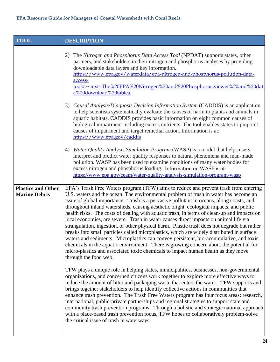<span id="page-23-0"></span>

| <b>TOOL</b>                                       | <b>DESCRIPTION</b>                                                                                                                                                                                                                                                                                                                                                                                                                                                                                                                                                                                                                                                                                                                                                                                                                                                                                                                                                                                                                                    |
|---------------------------------------------------|-------------------------------------------------------------------------------------------------------------------------------------------------------------------------------------------------------------------------------------------------------------------------------------------------------------------------------------------------------------------------------------------------------------------------------------------------------------------------------------------------------------------------------------------------------------------------------------------------------------------------------------------------------------------------------------------------------------------------------------------------------------------------------------------------------------------------------------------------------------------------------------------------------------------------------------------------------------------------------------------------------------------------------------------------------|
|                                                   | The Nitrogen and Phosphorus Data Access Tool (NPDAT) supports states, other<br>2)<br>partners, and stakeholders in their nitrogen and phosphorus analyses by providing<br>downloadable data layers and key information.<br>https://www.epa.gov/waterdata/epa-nitrogen-and-phosphorus-pollution-data-<br>access-<br>tool#:~:text=The%20EPA%20Nitrogen%20and%20Phosphorus,viewer%20and%20dat<br>a%20download%20tables.                                                                                                                                                                                                                                                                                                                                                                                                                                                                                                                                                                                                                                  |
|                                                   | Causal Analysis/Diagnosis Decision Information System (CADDIS) is an application<br>3)<br>to help scientists systematically evaluate the causes of harm to plants and animals in<br>aquatic habitats. CADDIS provides basic information on eight common causes of<br>biological impairment including excess nutrients. The tool enables states to pinpoint<br>causes of impairment and target remedial action. Information is at:<br>https://www.epa.gov/caddis                                                                                                                                                                                                                                                                                                                                                                                                                                                                                                                                                                                       |
|                                                   | Water Quality Analysis Simulation Program (WASP) is a model that helps users<br>4)<br>interpret and predict water quality responses to natural phenomena and man-made<br>pollution. WASP has been used to examine conditions of many water bodies for<br>excess nitrogen and phosphorus loading. Information on WASP is at:<br>https://www.epa.gov/ceam/water-quality-analysis-simulation-program-wasp                                                                                                                                                                                                                                                                                                                                                                                                                                                                                                                                                                                                                                                |
| <b>Plastics and Other</b><br><b>Marine Debris</b> | EPA's Trash Free Waters program (TFW) aims to reduce and prevent trash from entering<br>U.S. waters and the ocean. The environmental problem of trash in water has become an<br>issue of global importance. Trash is a pervasive pollutant in oceans, along coasts, and<br>throughout inland watersheds, causing aesthetic blight, ecological impacts, and public<br>health risks. The costs of dealing with aquatic trash, in terms of clean-up and impacts on<br>local economies, are severe. Trash in water causes direct impacts on animal life via<br>strangulation, ingestion, or other physical harm. Plastic trash does not degrade but rather<br>breaks into small particles called microplastics, which are widely distributed in surface<br>waters and sediments. Microplastics can convey persistent, bio-accumulative, and toxic<br>chemicals in the aquatic environment. There is growing concern about the potential for<br>micro-plastics and associated toxic chemicals to impact human health as they move<br>through the food web. |
|                                                   | TFW plays a unique role in helping states, municipalities, businesses, non-governmental<br>organizations, and concerned citizens work together to explore more effective ways to<br>reduce the amount of litter and packaging waste that enters the water. TFW supports and<br>brings together stakeholders to help identify collective actions in communities that<br>enhance trash prevention. The Trash Free Waters program has four focus areas: research,<br>international, public-private partnerships and regional strategies to support state and<br>community trash prevention programs. Through a holistic and strategic national approach<br>with a place-based trash prevention focus, TFW hopes to collaboratively problem-solve<br>the critical issue of trash in waterways.                                                                                                                                                                                                                                                            |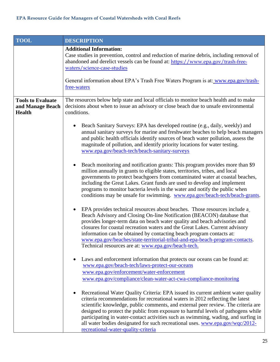<span id="page-24-0"></span>

| <b>TOOL</b>                                                   | <b>DESCRIPTION</b>                                                                                                                                                                                                                                                                                                                                                                                                                                                                                                                                          |
|---------------------------------------------------------------|-------------------------------------------------------------------------------------------------------------------------------------------------------------------------------------------------------------------------------------------------------------------------------------------------------------------------------------------------------------------------------------------------------------------------------------------------------------------------------------------------------------------------------------------------------------|
|                                                               | <b>Additional Information:</b><br>Case studies in prevention, control and reduction of marine debris, including removal of<br>abandoned and derelict vessels can be found at: https://www.epa.gov/trash-free-<br>waters/science-case-studies<br>General information about EPA's Trash Free Waters Program is at: www.epa.gov/trash-                                                                                                                                                                                                                         |
|                                                               | free-waters                                                                                                                                                                                                                                                                                                                                                                                                                                                                                                                                                 |
| <b>Tools to Evaluate</b><br>and Manage Beach<br><b>Health</b> | The resources below help state and local officials to monitor beach health and to make<br>decisions about when to issue an advisory or close beach due to unsafe environmental<br>conditions.                                                                                                                                                                                                                                                                                                                                                               |
|                                                               | Beach Sanitary Surveys: EPA has developed routine (e.g., daily, weekly) and<br>annual sanitary surveys for marine and freshwater beaches to help beach managers<br>and public health officials identify sources of beach water pollution, assess the<br>magnitude of pollution, and identify priority locations for water testing.<br>www.epa.gov/beach-tech/beach-sanitary-surveys                                                                                                                                                                         |
|                                                               | Beach monitoring and notification grants: This program provides more than \$9<br>million annually in grants to eligible states, territories, tribes, and local<br>governments to protect beachgoers from contaminated water at coastal beaches,<br>including the Great Lakes. Grant funds are used to develop and implement<br>programs to monitor bacteria levels in the water and notify the public when<br>conditions may be unsafe for swimming. www.epa.gov/beach-tech/beach-grants.                                                                   |
|                                                               | EPA provides technical resources about beaches. Those resources include a<br>Beach Advisory and Closing On-line Notification (BEACON) database that<br>provides longer-term data on beach water quality and beach advisories and<br>closures for coastal recreation waters and the Great Lakes. Current advisory<br>information can be obtained by contacting beach program contacts at:<br>www.epa.gov/beaches/state-territorial-tribal-and-epa-beach-program-contacts.<br>Technical resources are at: www.epa.gov/beach-tech.                             |
|                                                               | Laws and enforcement information that protects our oceans can be found at:<br>www.epa.gov/beach-tech/laws-protect-our-oceans<br>www.epa.gov/enforcement/water-enforcement<br>www.epa.gov/compliance/clean-water-act-cwa-compliance-monitoring                                                                                                                                                                                                                                                                                                               |
|                                                               | Recreational Water Quality Criteria: EPA issued its current ambient water quality<br>criteria recommendations for recreational waters in 2012 reflecting the latest<br>scientific knowledge, public comments, and external peer review. The criteria are<br>designed to protect the public from exposure to harmful levels of pathogens while<br>participating in water-contact activities such as swimming, wading, and surfing in<br>all water bodies designated for such recreational uses. www.epa.gov/wqc/2012-<br>recreational-water-quality-criteria |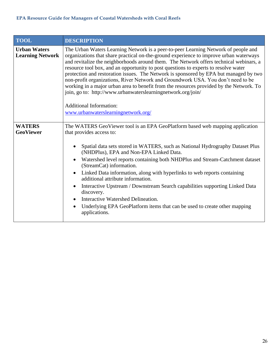<span id="page-25-1"></span><span id="page-25-0"></span>

| <b>TOOL</b>                                    | <b>DESCRIPTION</b>                                                                                                                                                                                                                                                                                                                                                                                                                                                                                                                                                                                                                                                                                                                                                             |
|------------------------------------------------|--------------------------------------------------------------------------------------------------------------------------------------------------------------------------------------------------------------------------------------------------------------------------------------------------------------------------------------------------------------------------------------------------------------------------------------------------------------------------------------------------------------------------------------------------------------------------------------------------------------------------------------------------------------------------------------------------------------------------------------------------------------------------------|
| <b>Urban Waters</b><br><b>Learning Network</b> | The Urban Waters Learning Network is a peer-to-peer Learning Network of people and<br>organizations that share practical on-the-ground experience to improve urban waterways<br>and revitalize the neighborhoods around them. The Network offers technical webinars, a<br>resource tool box, and an opportunity to post questions to experts to resolve water<br>protection and restoration issues. The Network is sponsored by EPA but managed by two<br>non-profit organizations, River Network and Groundwork USA. You don't need to be<br>working in a major urban area to benefit from the resources provided by the Network. To<br>join, go to: http://www.urbanwaterslearningnetwork.org/join/<br><b>Additional Information:</b><br>www.urbanwaterslearningnetwork.org/ |
| <b>WATERS</b><br><b>GeoViewer</b>              | The WATERS GeoViewer tool is an EPA GeoPlatform based web mapping application<br>that provides access to:<br>Spatial data sets stored in WATERS, such as National Hydrography Dataset Plus<br>(NHDPlus), EPA and Non-EPA Linked Data.<br>Watershed level reports containing both NHDPlus and Stream-Catchment dataset<br>$\bullet$<br>(StreamCat) information.<br>Linked Data information, along with hyperlinks to web reports containing<br>additional attribute information.<br>Interactive Upstream / Downstream Search capabilities supporting Linked Data<br>discovery.<br>Interactive Watershed Delineation.<br>$\bullet$<br>Underlying EPA GeoPlatform items that can be used to create other mapping<br>٠<br>applications.                                            |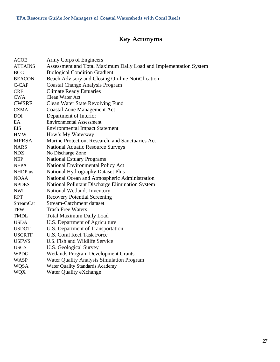# **Key Acronyms**

<span id="page-26-0"></span>

| <b>ACOE</b>      | Army Corps of Engineers                                           |
|------------------|-------------------------------------------------------------------|
| <b>ATTAINS</b>   | Assessment and Total Maximum Daily Load and Implementation System |
| <b>BCG</b>       | <b>Biological Condition Gradient</b>                              |
| <b>BEACON</b>    | Beach Advisory and Closing On-line NotiCfication                  |
| C-CAP            | <b>Coastal Change Analysis Program</b>                            |
| <b>CRE</b>       | <b>Climate Ready Estuaries</b>                                    |
| <b>CWA</b>       | Clean Water Act                                                   |
| <b>CWSRF</b>     | Clean Water State Revolving Fund                                  |
| <b>CZMA</b>      | <b>Coastal Zone Management Act</b>                                |
| <b>DOI</b>       | Department of Interior                                            |
| EA               | <b>Environmental Assessment</b>                                   |
| <b>EIS</b>       | <b>Environmental Impact Statement</b>                             |
| <b>HMW</b>       | How's My Waterway                                                 |
| <b>MPRSA</b>     | Marine Protection, Research, and Sanctuaries Act                  |
| <b>NARS</b>      | <b>National Aquatic Resource Surveys</b>                          |
| <b>NDZ</b>       | No Discharge Zone                                                 |
| <b>NEP</b>       | <b>National Estuary Programs</b>                                  |
| <b>NEPA</b>      | National Environmental Policy Act                                 |
| <b>NHDPlus</b>   | National Hydrography Dataset Plus                                 |
| <b>NOAA</b>      | National Ocean and Atmospheric Administration                     |
| <b>NPDES</b>     | National Pollutant Discharge Elimination System                   |
| <b>NWI</b>       | National Wetlands Inventory                                       |
| <b>RPT</b>       | <b>Recovery Potential Screening</b>                               |
| <b>StreamCat</b> | <b>Stream-Catchment dataset</b>                                   |
| <b>TFW</b>       | <b>Trash Free Waters</b>                                          |
| <b>TMDL</b>      | <b>Total Maximum Daily Load</b>                                   |
| <b>USDA</b>      | U.S. Department of Agriculture                                    |
| <b>USDOT</b>     | U.S. Department of Transportation                                 |
| <b>USCRTF</b>    | <b>U.S. Coral Reef Task Force</b>                                 |
| <b>USFWS</b>     | U.S. Fish and Wildlife Service                                    |
| <b>USGS</b>      | <b>U.S. Geological Survey</b>                                     |
| <b>WPDG</b>      | <b>Wetlands Program Development Grants</b>                        |
| <b>WASP</b>      | <b>Water Quality Analysis Simulation Program</b>                  |
| <b>WQSA</b>      | <b>Water Quality Standards Academy</b>                            |
| <b>WQX</b>       | Water Quality eXchange                                            |
|                  |                                                                   |